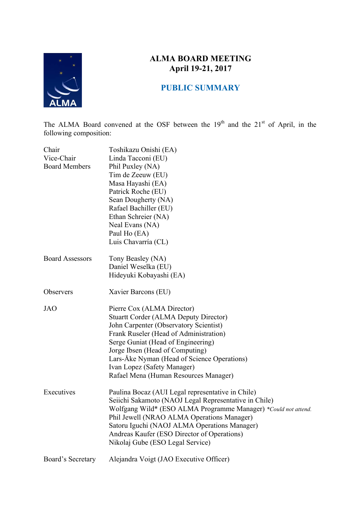

# **ALMA BOARD MEETING April 19-21, 2017**

## **PUBLIC SUMMARY**

The ALMA Board convened at the OSF between the  $19<sup>th</sup>$  and the  $21<sup>st</sup>$  of April, in the following composition:

| Chair<br>Vice-Chair<br><b>Board Members</b> | Toshikazu Onishi (EA)<br>Linda Tacconi (EU)<br>Phil Puxley (NA)<br>Tim de Zeeuw (EU)<br>Masa Hayashi (EA)<br>Patrick Roche (EU)<br>Sean Dougherty (NA)<br>Rafael Bachiller (EU)<br>Ethan Schreier (NA)<br>Neal Evans (NA)<br>Paul Ho (EA)<br>Luis Chavarría (CL)                                                                                               |
|---------------------------------------------|----------------------------------------------------------------------------------------------------------------------------------------------------------------------------------------------------------------------------------------------------------------------------------------------------------------------------------------------------------------|
| <b>Board Assessors</b>                      | Tony Beasley (NA)<br>Daniel Weselka (EU)<br>Hideyuki Kobayashi (EA)                                                                                                                                                                                                                                                                                            |
| Observers                                   | Xavier Barcons (EU)                                                                                                                                                                                                                                                                                                                                            |
| <b>JAO</b>                                  | Pierre Cox (ALMA Director)<br><b>Stuartt Corder (ALMA Deputy Director)</b><br>John Carpenter (Observatory Scientist)<br>Frank Ruseler (Head of Administration)<br>Serge Guniat (Head of Engineering)<br>Jorge Ibsen (Head of Computing)<br>Lars-Åke Nyman (Head of Science Operations)<br>Ivan Lopez (Safety Manager)<br>Rafael Mena (Human Resources Manager) |
| Executives                                  | Paulina Bocaz (AUI Legal representative in Chile)<br>Seiichi Sakamoto (NAOJ Legal Representative in Chile)<br>Wolfgang Wild* (ESO ALMA Programme Manager) *Could not attend.<br>Phil Jewell (NRAO ALMA Operations Manager)<br>Satoru Iguchi (NAOJ ALMA Operations Manager)<br>Andreas Kaufer (ESO Director of Operations)<br>Nikolaj Gube (ESO Legal Service)  |
| Board's Secretary                           | Alejandra Voigt (JAO Executive Officer)                                                                                                                                                                                                                                                                                                                        |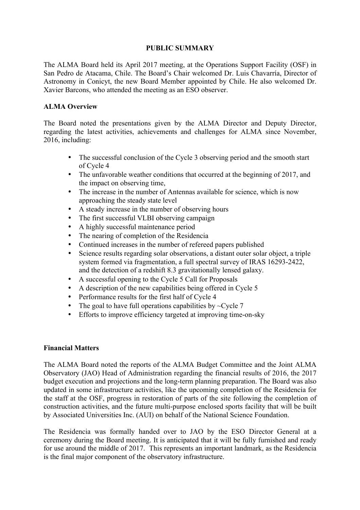## **PUBLIC SUMMARY**

The ALMA Board held its April 2017 meeting, at the Operations Support Facility (OSF) in San Pedro de Atacama, Chile. The Board's Chair welcomed Dr. Luis Chavarría, Director of Astronomy in Conicyt, the new Board Member appointed by Chile. He also welcomed Dr. Xavier Barcons, who attended the meeting as an ESO observer.

#### **ALMA Overview**

The Board noted the presentations given by the ALMA Director and Deputy Director, regarding the latest activities, achievements and challenges for ALMA since November, 2016, including:

- The successful conclusion of the Cycle 3 observing period and the smooth start of Cycle 4
- The unfavorable weather conditions that occurred at the beginning of 2017, and the impact on observing time,
- The increase in the number of Antennas available for science, which is now approaching the steady state level
- A steady increase in the number of observing hours
- The first successful VLBI observing campaign
- A highly successful maintenance period
- The nearing of completion of the Residencia
- Continued increases in the number of refereed papers published
- Science results regarding solar observations, a distant outer solar object, a triple system formed via fragmentation, a full spectral survey of IRAS 16293-2422, and the detection of a redshift 8.3 gravitationally lensed galaxy.
- A successful opening to the Cycle 5 Call for Proposals
- A description of the new capabilities being offered in Cycle 5
- Performance results for the first half of Cycle 4
- The goal to have full operations capabilities by  $\sim$ Cycle 7
- Efforts to improve efficiency targeted at improving time-on-sky

#### **Financial Matters**

The ALMA Board noted the reports of the ALMA Budget Committee and the Joint ALMA Observatory (JAO) Head of Administration regarding the financial results of 2016, the 2017 budget execution and projections and the long-term planning preparation. The Board was also updated in some infrastructure activities, like the upcoming completion of the Residencia for the staff at the OSF, progress in restoration of parts of the site following the completion of construction activities, and the future multi-purpose enclosed sports facility that will be built by Associated Universities Inc. (AUI) on behalf of the National Science Foundation.

The Residencia was formally handed over to JAO by the ESO Director General at a ceremony during the Board meeting. It is anticipated that it will be fully furnished and ready for use around the middle of 2017. This represents an important landmark, as the Residencia is the final major component of the observatory infrastructure.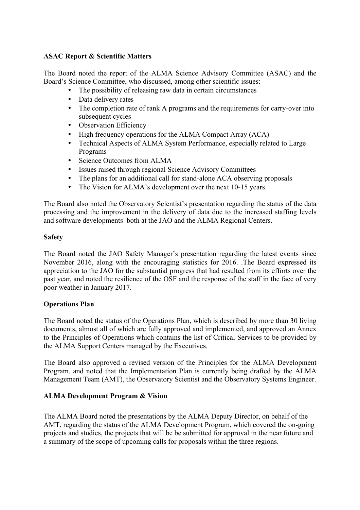#### **ASAC Report & Scientific Matters**

The Board noted the report of the ALMA Science Advisory Committee (ASAC) and the Board's Science Committee, who discussed, among other scientific issues:

- The possibility of releasing raw data in certain circumstances
- Data delivery rates
- The completion rate of rank A programs and the requirements for carry-over into subsequent cycles
- Observation Efficiency
- High frequency operations for the ALMA Compact Array (ACA)
- Technical Aspects of ALMA System Performance, especially related to Large Programs
- Science Outcomes from ALMA
- Issues raised through regional Science Advisory Committees
- The plans for an additional call for stand-alone ACA observing proposals
- The Vision for ALMA's development over the next 10-15 years.

The Board also noted the Observatory Scientist's presentation regarding the status of the data processing and the improvement in the delivery of data due to the increased staffing levels and software developments both at the JAO and the ALMA Regional Centers.

#### **Safety**

The Board noted the JAO Safety Manager's presentation regarding the latest events since November 2016, along with the encouraging statistics for 2016. .The Board expressed its appreciation to the JAO for the substantial progress that had resulted from its efforts over the past year, and noted the resilience of the OSF and the response of the staff in the face of very poor weather in January 2017.

## **Operations Plan**

The Board noted the status of the Operations Plan, which is described by more than 30 living documents, almost all of which are fully approved and implemented, and approved an Annex to the Principles of Operations which contains the list of Critical Services to be provided by the ALMA Support Centers managed by the Executives.

The Board also approved a revised version of the Principles for the ALMA Development Program, and noted that the Implementation Plan is currently being drafted by the ALMA Management Team (AMT), the Observatory Scientist and the Observatory Systems Engineer.

## **ALMA Development Program & Vision**

The ALMA Board noted the presentations by the ALMA Deputy Director, on behalf of the AMT, regarding the status of the ALMA Development Program, which covered the on-going projects and studies, the projects that will be be submitted for approval in the near future and a summary of the scope of upcoming calls for proposals within the three regions.